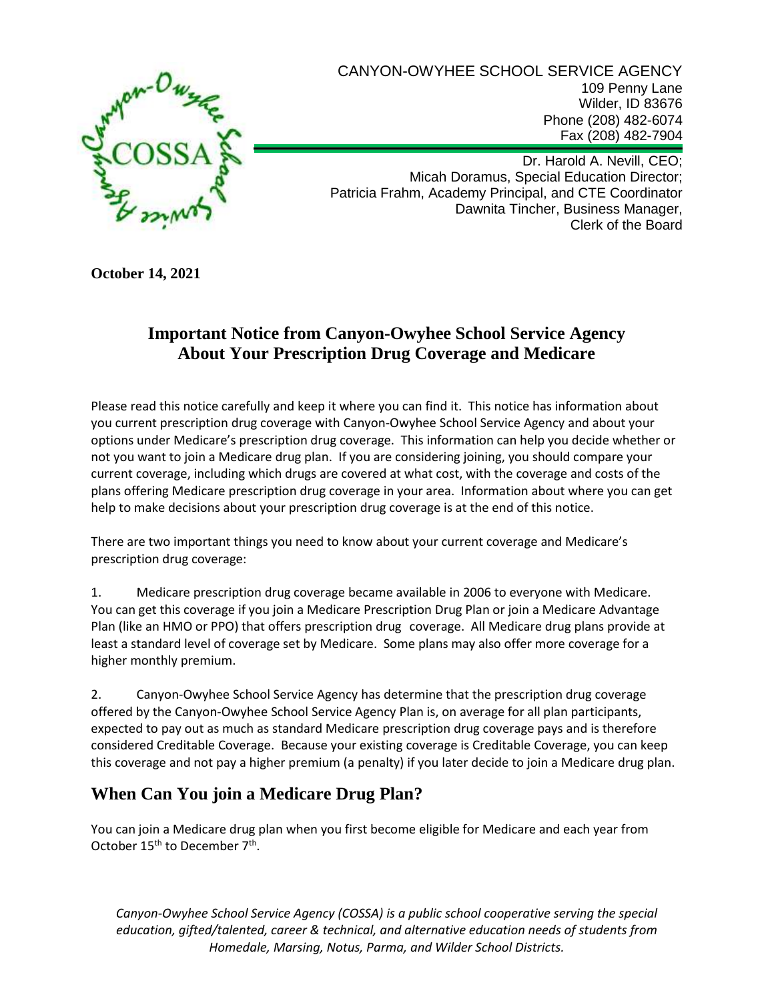

CANYON-OWYHEE SCHOOL SERVICE AGENCY 109 Penny Lane Wilder, ID 83676 Phone (208) 482-6074 Fax (208) 482-7904

Dr. Harold A. Nevill, CEO; Micah Doramus, Special Education Director; Patricia Frahm, Academy Principal, and CTE Coordinator Dawnita Tincher, Business Manager, Clerk of the Board

**October 14, 2021**

#### **Important Notice from Canyon-Owyhee School Service Agency About Your Prescription Drug Coverage and Medicare**

Please read this notice carefully and keep it where you can find it. This notice has information about you current prescription drug coverage with Canyon-Owyhee School Service Agency and about your options under Medicare's prescription drug coverage. This information can help you decide whether or not you want to join a Medicare drug plan. If you are considering joining, you should compare your current coverage, including which drugs are covered at what cost, with the coverage and costs of the plans offering Medicare prescription drug coverage in your area. Information about where you can get help to make decisions about your prescription drug coverage is at the end of this notice.

There are two important things you need to know about your current coverage and Medicare's prescription drug coverage:

1. Medicare prescription drug coverage became available in 2006 to everyone with Medicare. You can get this coverage if you join a Medicare Prescription Drug Plan or join a Medicare Advantage Plan (like an HMO or PPO) that offers prescription drug coverage. All Medicare drug plans provide at least a standard level of coverage set by Medicare. Some plans may also offer more coverage for a higher monthly premium.

2. Canyon-Owyhee School Service Agency has determine that the prescription drug coverage offered by the Canyon-Owyhee School Service Agency Plan is, on average for all plan participants, expected to pay out as much as standard Medicare prescription drug coverage pays and is therefore considered Creditable Coverage. Because your existing coverage is Creditable Coverage, you can keep this coverage and not pay a higher premium (a penalty) if you later decide to join a Medicare drug plan.

# **When Can You join a Medicare Drug Plan?**

You can join a Medicare drug plan when you first become eligible for Medicare and each year from October  $15^{th}$  to December  $7^{th}$ .

*Canyon-Owyhee School Service Agency (COSSA) is a public school cooperative serving the special education, gifted/talented, career & technical, and alternative education needs of students from Homedale, Marsing, Notus, Parma, and Wilder School Districts.*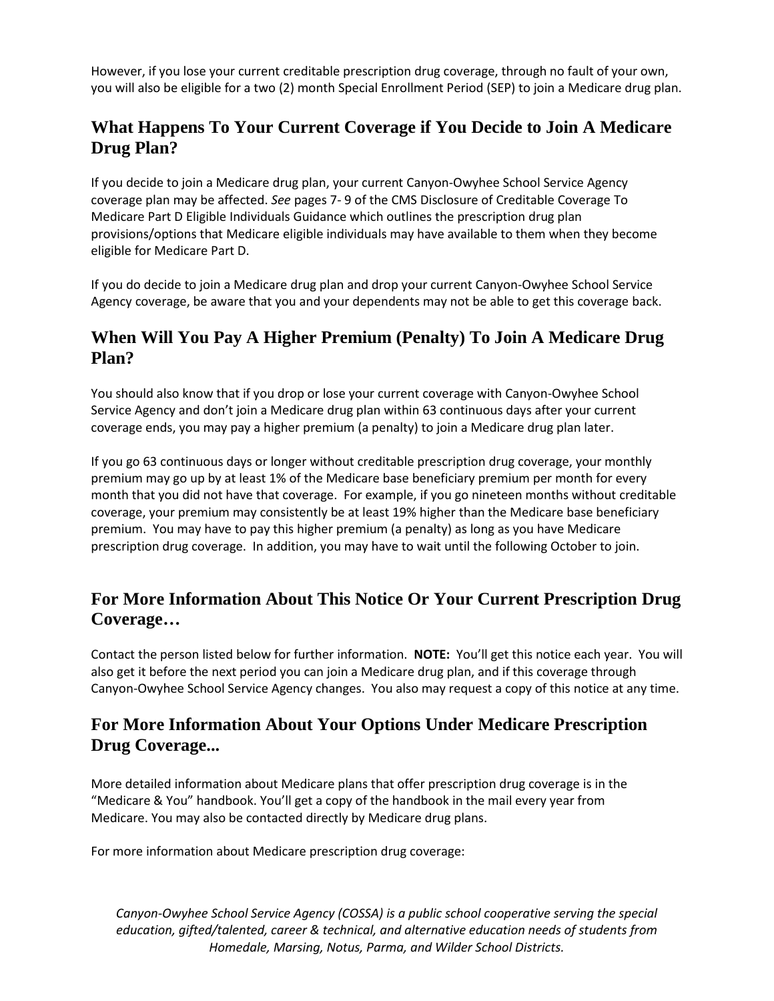However, if you lose your current creditable prescription drug coverage, through no fault of your own, you will also be eligible for a two (2) month Special Enrollment Period (SEP) to join a Medicare drug plan.

### **What Happens To Your Current Coverage if You Decide to Join A Medicare Drug Plan?**

If you decide to join a Medicare drug plan, your current Canyon-Owyhee School Service Agency coverage plan may be affected. *See* pages 7- 9 of the CMS Disclosure of Creditable Coverage To Medicare Part D Eligible Individuals Guidance which outlines the prescription drug plan provisions/options that Medicare eligible individuals may have available to them when they become eligible for Medicare Part D.

If you do decide to join a Medicare drug plan and drop your current Canyon-Owyhee School Service Agency coverage, be aware that you and your dependents may not be able to get this coverage back.

### **When Will You Pay A Higher Premium (Penalty) To Join A Medicare Drug Plan?**

You should also know that if you drop or lose your current coverage with Canyon-Owyhee School Service Agency and don't join a Medicare drug plan within 63 continuous days after your current coverage ends, you may pay a higher premium (a penalty) to join a Medicare drug plan later.

If you go 63 continuous days or longer without creditable prescription drug coverage, your monthly premium may go up by at least 1% of the Medicare base beneficiary premium per month for every month that you did not have that coverage. For example, if you go nineteen months without creditable coverage, your premium may consistently be at least 19% higher than the Medicare base beneficiary premium. You may have to pay this higher premium (a penalty) as long as you have Medicare prescription drug coverage. In addition, you may have to wait until the following October to join.

# **For More Information About This Notice Or Your Current Prescription Drug Coverage…**

Contact the person listed below for further information. **NOTE:** You'll get this notice each year. You will also get it before the next period you can join a Medicare drug plan, and if this coverage through Canyon-Owyhee School Service Agency changes. You also may request a copy of this notice at any time.

#### **For More Information About Your Options Under Medicare Prescription Drug Coverage...**

More detailed information about Medicare plans that offer prescription drug coverage is in the "Medicare & You" handbook. You'll get a copy of the handbook in the mail every year from Medicare. You may also be contacted directly by Medicare drug plans.

For more information about Medicare prescription drug coverage:

*Canyon-Owyhee School Service Agency (COSSA) is a public school cooperative serving the special education, gifted/talented, career & technical, and alternative education needs of students from Homedale, Marsing, Notus, Parma, and Wilder School Districts.*